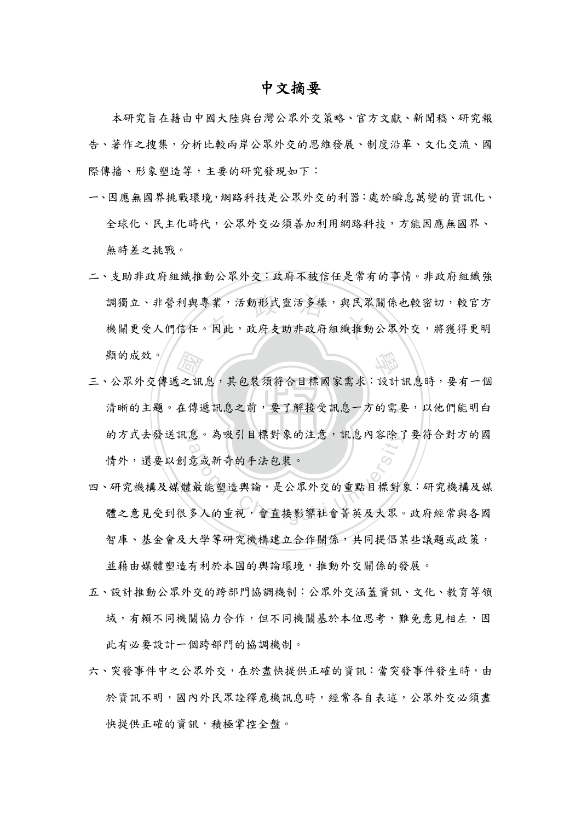## 中文摘要

本研究旨在藉由中國大陸與台灣公眾外交策略、官方文獻、新聞稿、研究報 告、著作之搜集,分析比較兩岸公眾外交的思維發展、制度沿革、文化交流、國 際傳播、形象塑造等,主要的研究發現如下:

- 一、因應無國界挑戰環境,網路科技是公眾外交的利器:處於瞬息萬變的資訊化、 全球化、民主化時代,公眾外交必須善加利用網路科技,方能因應無國界、 無時差之挑戰。
- 調獨立、非營利與專業,活動形式靈活多樣,與民眾關係也較密切,較官方<br>機關更受人們信任。因此,政府支助非政府組織推動公眾外交,將獲得更明 二、支助非政府組織推動公眾外交:政府不被信任是常有的事情。非政府組織強 調獨立、非營利與專業,活動形式靈活多樣,與民眾關係也較密切,較官方 顯的成效。
- 清晰的主題。在傳遞訊息之前,要了解接受訊息一方的需要,以他們能明白 [<br>之訊息,其包裝須符合目標國家需求:設計<br>在傳遞訊息之前,要了解接受訊息一方的需 的方式去發送訊息。為吸引目標對象的注意,訊息內容除了要符合對方的國 三、公眾外交傳遞之訊息,其包裝須符合目標國家需求:設計訊息時,要有一個 情外,還要以創意或新奇的手法包裝。
- 的万式云發送訊息。為吸引目標對象的汪意,訊息內谷除了要符合對万的國情外,還要以創意或新奇的手法包裝。<br>情外,還要以創意或新奇的手法包裝。<br>·研究機構及媒體最能塑造輿論,是公眾外交的重點目標對象:研究機構及媒<br>體之意見受到很多人的重視,會直接影響社會菁英及大眾。政府經常與各國 四、研究機構及媒體最能塑造輿論,是公眾外交的重點目標對象:研究機構及媒 智庫、基金會及大學等研究機構建立合作關係,共同提倡某些議題或政策, 並藉由媒體塑造有利於本國的輿論環境,推動外交關係的發展。
- 五、設計推動公眾外交的跨部門協調機制:公眾外交涵蓋資訊、文化、教育等領 域,有賴不同機關協力合作,但不同機關基於本位思考,難免意見相左,因 此有必要設計一個跨部門的協調機制。
- 六、突發事件中之公眾外交,在於盡快提供正確的資訊:當突發事件發生時,由 於資訊不明,國內外民眾詮釋危機訊息時,經常各自表述,公眾外交必須盡 快提供正確的資訊,積極掌控全盤。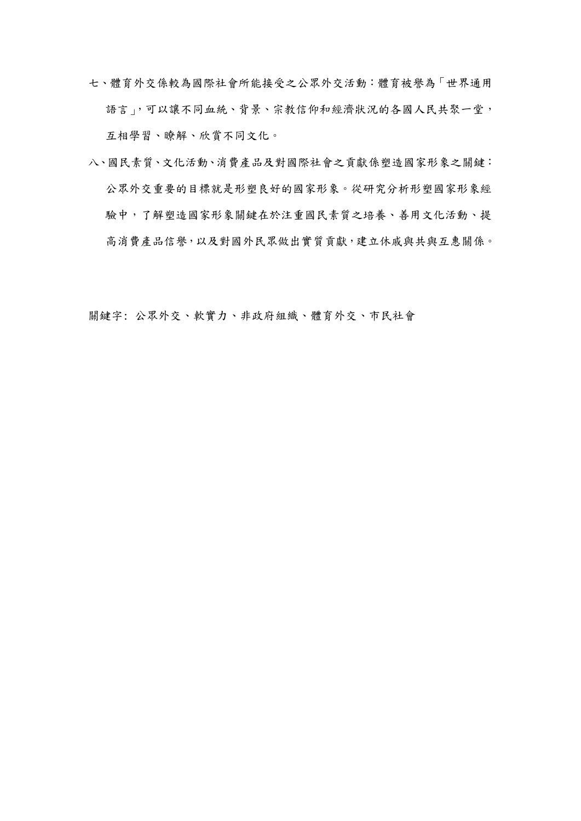- 七、體育外交係較為國際社會所能接受之公眾外交活動:體育被譽為「世界通用 語言」,可以讓不同血統、背景、宗教信仰和經濟狀況的各國人民共聚一堂, 互相學習、瞭解、欣賞不同文化。
- 八、國民素質、文化活動、消費產品及對國際社會之貢獻係塑造國家形象之關鍵: 公眾外交重要的目標就是形塑良好的國家形象。從研究分析形塑國家形象經 驗中,了解塑造國家形象關鍵在於注重國民素質之培養、善用文化活動、提 高消費產品信譽,以及對國外民眾做出實質貢獻,建立休戚與共與互惠關係。

關鍵字: 公眾外交、軟實力、非政府組織、體育外交、市民社會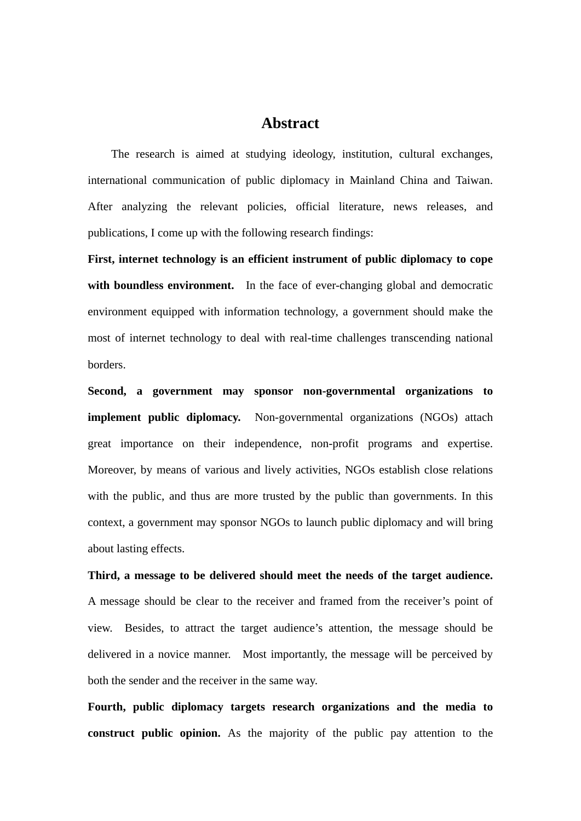## **Abstract**

The research is aimed at studying ideology, institution, cultural exchanges, international communication of public diplomacy in Mainland China and Taiwan. After analyzing the relevant policies, official literature, news releases, and publications, I come up with the following research findings:

**First, internet technology is an efficient instrument of public diplomacy to cope**  with **boundless environment.** In the face of ever-changing global and democratic environment equipped with information technology, a government should make the most of internet technology to deal with real-time challenges transcending national borders.

**Second, a government may sponsor non-governmental organizations to implement public diplomacy.** Non-governmental organizations (NGOs) attach great importance on their independence, non-profit programs and expertise. Moreover, by means of various and lively activities, NGOs establish close relations with the public, and thus are more trusted by the public than governments. In this context, a government may sponsor NGOs to launch public diplomacy and will bring about lasting effects.

**Third, a message to be delivered should meet the needs of the target audience.** A message should be clear to the receiver and framed from the receiver's point of view. Besides, to attract the target audience's attention, the message should be delivered in a novice manner. Most importantly, the message will be perceived by both the sender and the receiver in the same way.

**Fourth, public diplomacy targets research organizations and the media to construct public opinion.** As the majority of the public pay attention to the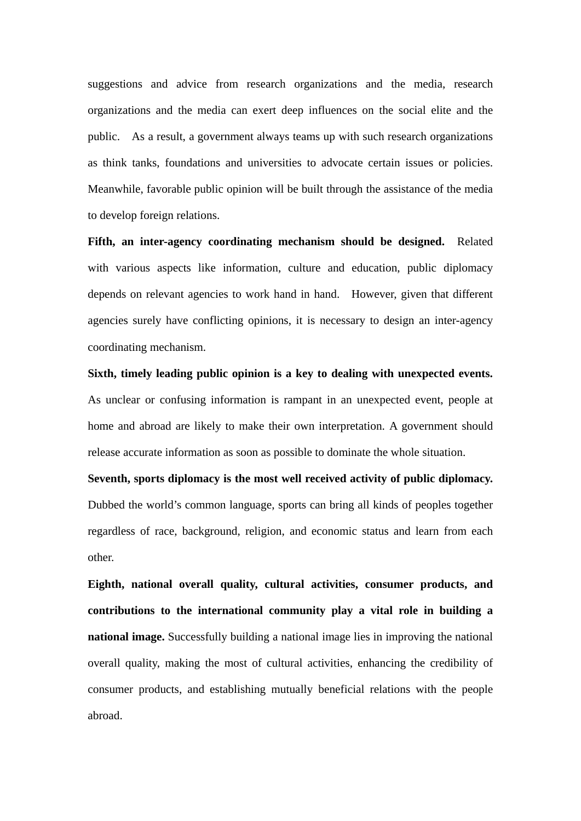suggestions and advice from research organizations and the media, research organizations and the media can exert deep influences on the social elite and the public. As a result, a government always teams up with such research organizations as think tanks, foundations and universities to advocate certain issues or policies. Meanwhile, favorable public opinion will be built through the assistance of the media to develop foreign relations.

**Fifth, an inter-agency coordinating mechanism should be designed.** Related with various aspects like information, culture and education, public diplomacy depends on relevant agencies to work hand in hand. However, given that different agencies surely have conflicting opinions, it is necessary to design an inter-agency coordinating mechanism.

**Sixth, timely leading public opinion is a key to dealing with unexpected events.**  As unclear or confusing information is rampant in an unexpected event, people at home and abroad are likely to make their own interpretation. A government should release accurate information as soon as possible to dominate the whole situation.

**Seventh, sports diplomacy is the most well received activity of public diplomacy.**  Dubbed the world's common language, sports can bring all kinds of peoples together regardless of race, background, religion, and economic status and learn from each other.

**Eighth, national overall quality, cultural activities, consumer products, and contributions to the international community play a vital role in building a national image.** Successfully building a national image lies in improving the national overall quality, making the most of cultural activities, enhancing the credibility of consumer products, and establishing mutually beneficial relations with the people abroad.